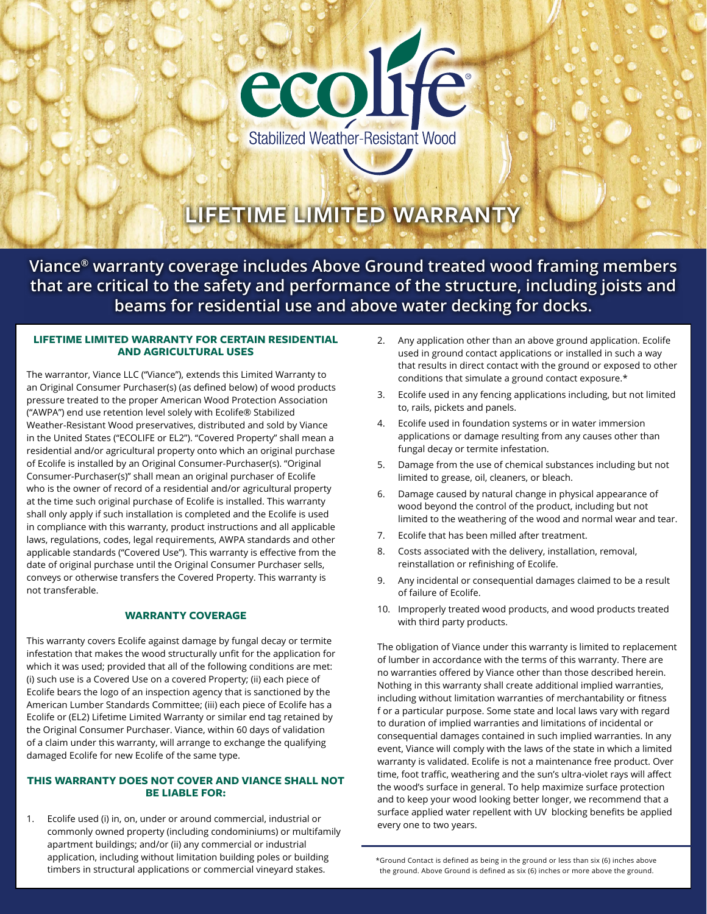

# **LIFETIME LIMITED WARRANTY**

**Viance® warranty coverage includes Above Ground treated wood framing members that are critical to the safety and performance of the structure, including joists and beams for residential use and above water decking for docks.**

## **LIFETIME LIMITED WARRANTY FOR CERTAIN RESIDENTIAL AND AGRICULTURAL USES**

The warrantor, Viance LLC ("Viance"), extends this Limited Warranty to an Original Consumer Purchaser(s) (as defined below) of wood products pressure treated to the proper American Wood Protection Association ("AWPA") end use retention level solely with Ecolife® Stabilized Weather-Resistant Wood preservatives, distributed and sold by Viance in the United States ("ECOLIFE or EL2"). "Covered Property" shall mean a residential and/or agricultural property onto which an original purchase of Ecolife is installed by an Original Consumer-Purchaser(s). "Original Consumer-Purchaser(s)" shall mean an original purchaser of Ecolife who is the owner of record of a residential and/or agricultural property at the time such original purchase of Ecolife is installed. This warranty shall only apply if such installation is completed and the Ecolife is used in compliance with this warranty, product instructions and all applicable laws, regulations, codes, legal requirements, AWPA standards and other applicable standards ("Covered Use"). This warranty is effective from the date of original purchase until the Original Consumer Purchaser sells, conveys or otherwise transfers the Covered Property. This warranty is not transferable.

## **WARRANTY COVERAGE**

This warranty covers Ecolife against damage by fungal decay or termite infestation that makes the wood structurally unfit for the application for which it was used; provided that all of the following conditions are met: (i) such use is a Covered Use on a covered Property; (ii) each piece of Ecolife bears the logo of an inspection agency that is sanctioned by the American Lumber Standards Committee; (iii) each piece of Ecolife has a Ecolife or (EL2) Lifetime Limited Warranty or similar end tag retained by the Original Consumer Purchaser. Viance, within 60 days of validation of a claim under this warranty, will arrange to exchange the qualifying damaged Ecolife for new Ecolife of the same type.

# **THIS WARRANTY DOES NOT COVER AND VIANCE SHALL NOT BE LIABLE FOR:**

1. Ecolife used (i) in, on, under or around commercial, industrial or commonly owned property (including condominiums) or multifamily apartment buildings; and/or (ii) any commercial or industrial application, including without limitation building poles or building timbers in structural applications or commercial vineyard stakes.

- 2. Any application other than an above ground application. Ecolife used in ground contact applications or installed in such a way that results in direct contact with the ground or exposed to other conditions that simulate a ground contact exposure.\*
- 3. Ecolife used in any fencing applications including, but not limited to, rails, pickets and panels.
- 4. Ecolife used in foundation systems or in water immersion applications or damage resulting from any causes other than fungal decay or termite infestation.
- 5. Damage from the use of chemical substances including but not limited to grease, oil, cleaners, or bleach.
- 6. Damage caused by natural change in physical appearance of wood beyond the control of the product, including but not limited to the weathering of the wood and normal wear and tear.
- 7. Ecolife that has been milled after treatment.
- 8. Costs associated with the delivery, installation, removal, reinstallation or refinishing of Ecolife.
- 9. Any incidental or consequential damages claimed to be a result of failure of Ecolife.
- 10. Improperly treated wood products, and wood products treated with third party products.

The obligation of Viance under this warranty is limited to replacement of lumber in accordance with the terms of this warranty. There are no warranties offered by Viance other than those described herein. Nothing in this warranty shall create additional implied warranties, including without limitation warranties of merchantability or fitness f or a particular purpose. Some state and local laws vary with regard to duration of implied warranties and limitations of incidental or consequential damages contained in such implied warranties. In any event, Viance will comply with the laws of the state in which a limited warranty is validated. Ecolife is not a maintenance free product. Over time, foot traffic, weathering and the sun's ultra-violet rays will affect the wood's surface in general. To help maximize surface protection and to keep your wood looking better longer, we recommend that a surface applied water repellent with UV blocking benefits be applied every one to two years.

<sup>\*</sup>Ground Contact is defined as being in the ground or less than six (6) inches above the ground. Above Ground is defined as six (6) inches or more above the ground.